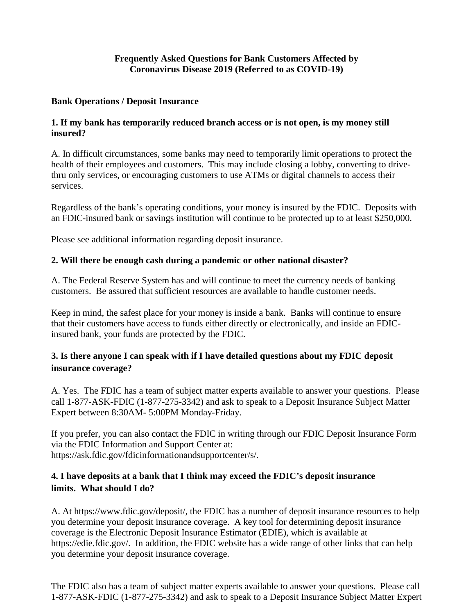#### **Frequently Asked Questions for Bank Customers Affected by Coronavirus Disease 2019 (Referred to as COVID-19)**

#### **Bank Operations / Deposit Insurance**

#### **1. If my bank has temporarily reduced branch access or is not open, is my money still insured?**

A. In difficult circumstances, some banks may need to temporarily limit operations to protect the health of their employees and customers. This may include closing a lobby, converting to drivethru only services, or encouraging customers to use ATMs or digital channels to access their services.

Regardless of the bank's operating conditions, your money is insured by the FDIC. Deposits with an FDIC-insured bank or savings institution will continue to be protected up to at least \$250,000.

Please see additional information regarding deposit insurance.

### **2. Will there be enough cash during a pandemic or other national disaster?**

A. The Federal Reserve System has and will continue to meet the currency needs of banking customers. Be assured that sufficient resources are available to handle customer needs.

Keep in mind, the safest place for your money is inside a bank. Banks will continue to ensure that their customers have access to funds either directly or electronically, and inside an FDICinsured bank, your funds are protected by the FDIC.

## **3. Is there anyone I can speak with if I have detailed questions about my FDIC deposit insurance coverage?**

A. Yes. The FDIC has a team of subject matter experts available to answer your questions. Please call 1-877-ASK-FDIC (1-877-275-3342) and ask to speak to a Deposit Insurance Subject Matter Expert between 8:30AM- 5:00PM Monday-Friday.

If you prefer, you can also contact the FDIC in writing through our FDIC Deposit Insurance Form via the FDIC Information and Support Center at: https://ask.fdic.gov/fdicinformationandsupportcenter/s/.

# **4. I have deposits at a bank that I think may exceed the FDIC's deposit insurance limits. What should I do?**

A. At https://www.fdic.gov/deposit/, the FDIC has a number of deposit insurance resources to help you determine your deposit insurance coverage. A key tool for determining deposit insurance coverage is the Electronic Deposit Insurance Estimator (EDIE), which is available at https://edie.fdic.gov/. In addition, the FDIC website has a wide range of other links that can help you determine your deposit insurance coverage.

The FDIC also has a team of subject matter experts available to answer your questions. Please call 1-877-ASK-FDIC (1-877-275-3342) and ask to speak to a Deposit Insurance Subject Matter Expert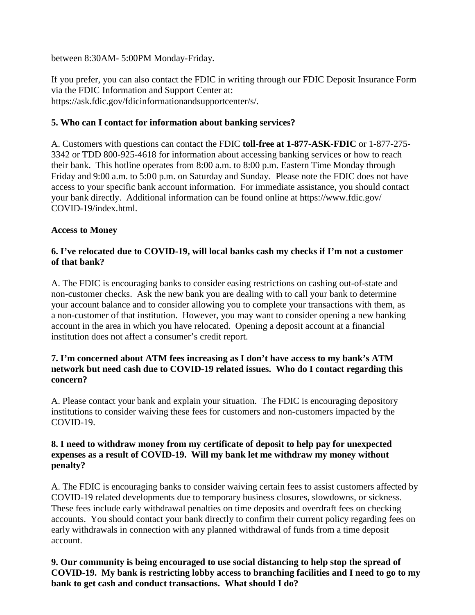between 8:30AM- 5:00PM Monday-Friday.

If you prefer, you can also contact the FDIC in writing through our FDIC Deposit Insurance Form via the FDIC Information and Support Center at: https://ask.fdic.gov/fdicinformationandsupportcenter/s/.

## **5. Who can I contact for information about banking services?**

A. Customers with questions can contact the FDIC **toll-free at 1-877-ASK-FDIC** or 1-877-275- 3342 or TDD 800-925-4618 for information about accessing banking services or how to reach their bank. This hotline operates from 8:00 a.m. to 8:00 p.m. Eastern Time Monday through Friday and 9:00 a.m. to 5:00 p.m. on Saturday and Sunday. Please note the FDIC does not have access to your specific bank account information. For immediate assistance, you should contact your bank directly. Additional information can be found online at https://www.fdic.gov/ COVID-19/index.html.

## **Access to Money**

## **6. I've relocated due to COVID-19, will local banks cash my checks if I'm not a customer of that bank?**

A. The FDIC is encouraging banks to consider easing restrictions on cashing out-of-state and non-customer checks. Ask the new bank you are dealing with to call your bank to determine your account balance and to consider allowing you to complete your transactions with them, as a non-customer of that institution. However, you may want to consider opening a new banking account in the area in which you have relocated. Opening a deposit account at a financial institution does not affect a consumer's credit report.

#### **7. I'm concerned about ATM fees increasing as I don't have access to my bank's ATM network but need cash due to COVID-19 related issues. Who do I contact regarding this concern?**

A. Please contact your bank and explain your situation. The FDIC is encouraging depository institutions to consider waiving these fees for customers and non-customers impacted by the COVID-19.

#### **8. I need to withdraw money from my certificate of deposit to help pay for unexpected expenses as a result of COVID-19. Will my bank let me withdraw my money without penalty?**

A. The FDIC is encouraging banks to consider waiving certain fees to assist customers affected by COVID-19 related developments due to temporary business closures, slowdowns, or sickness. These fees include early withdrawal penalties on time deposits and overdraft fees on checking accounts. You should contact your bank directly to confirm their current policy regarding fees on early withdrawals in connection with any planned withdrawal of funds from a time deposit account.

**9. Our community is being encouraged to use social distancing to help stop the spread of COVID-19. My bank is restricting lobby access to branching facilities and I need to go to my bank to get cash and conduct transactions. What should I do?**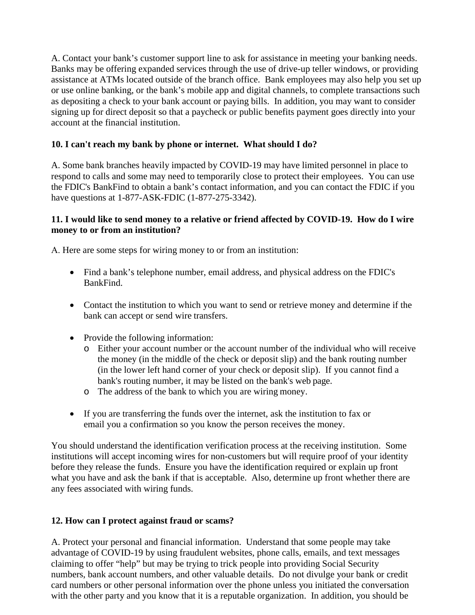A. Contact your bank's customer support line to ask for assistance in meeting your banking needs. Banks may be offering expanded services through the use of drive-up teller windows, or providing assistance at ATMs located outside of the branch office. Bank employees may also help you set up or use online banking, or the bank's mobile app and digital channels, to complete transactions such as depositing a check to your bank account or paying bills. In addition, you may want to consider signing up for direct deposit so that a paycheck or public benefits payment goes directly into your account at the financial institution.

## **10. I can't reach my bank by phone or internet. What should I do?**

A. Some bank branches heavily impacted by COVID-19 may have limited personnel in place to respond to calls and some may need to temporarily close to protect their employees. You can use the FDIC's BankFind to obtain a bank's contact information, and you can contact the FDIC if you have questions at 1-877-ASK-FDIC (1-877-275-3342).

#### **11. I would like to send money to a relative or friend affected by COVID-19. How do I wire money to or from an institution?**

A. Here are some steps for wiring money to or from an institution:

- Find a bank's telephone number, email address, and physical address on the FDIC's BankFind.
- Contact the institution to which you want to send or retrieve money and determine if the bank can accept or send wire transfers.
- Provide the following information:
	- o Either your account number or the account number of the individual who will receive the money (in the middle of the check or deposit slip) and the bank routing number (in the lower left hand corner of your check or deposit slip). If you cannot find a bank's routing number, it may be listed on the bank's web page.
	- o The address of the bank to which you are wiring money.
- If you are transferring the funds over the internet, ask the institution to fax or email you a confirmation so you know the person receives the money.

You should understand the identification verification process at the receiving institution. Some institutions will accept incoming wires for non-customers but will require proof of your identity before they release the funds. Ensure you have the identification required or explain up front what you have and ask the bank if that is acceptable. Also, determine up front whether there are any fees associated with wiring funds.

### **12. How can I protect against fraud or scams?**

A. Protect your personal and financial information. Understand that some people may take advantage of COVID-19 by using fraudulent websites, phone calls, emails, and text messages claiming to offer "help" but may be trying to trick people into providing Social Security numbers, bank account numbers, and other valuable details. Do not divulge your bank or credit card numbers or other personal information over the phone unless you initiated the conversation with the other party and you know that it is a reputable organization. In addition, you should be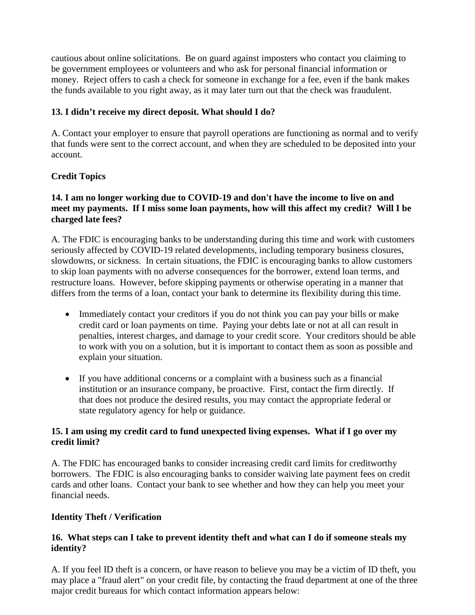cautious about online solicitations. Be on guard against imposters who contact you claiming to be government employees or volunteers and who ask for personal financial information or money. Reject offers to cash a check for someone in exchange for a fee, even if the bank makes the funds available to you right away, as it may later turn out that the check was fraudulent.

## **13. I didn't receive my direct deposit. What should I do?**

A. Contact your employer to ensure that payroll operations are functioning as normal and to verify that funds were sent to the correct account, and when they are scheduled to be deposited into your account.

# **Credit Topics**

## **14. I am no longer working due to COVID-19 and don't have the income to live on and meet my payments. If I miss some loan payments, how will this affect my credit? Will I be charged late fees?**

A. The FDIC is encouraging banks to be understanding during this time and work with customers seriously affected by COVID-19 related developments, including temporary business closures, slowdowns, or sickness. In certain situations, the FDIC is encouraging banks to allow customers to skip loan payments with no adverse consequences for the borrower, extend loan terms, and restructure loans. However, before skipping payments or otherwise operating in a manner that differs from the terms of a loan, contact your bank to determine its flexibility during this time.

- Immediately contact your creditors if you do not think you can pay your bills or make credit card or loan payments on time. Paying your debts late or not at all can result in penalties, interest charges, and damage to your credit score. Your creditors should be able to work with you on a solution, but it is important to contact them as soon as possible and explain your situation.
- If you have additional concerns or a complaint with a business such as a financial institution or an insurance company, be proactive. First, contact the firm directly. If that does not produce the desired results, you may contact the appropriate federal or state regulatory agency for help or guidance.

### **15. I am using my credit card to fund unexpected living expenses. What if I go over my credit limit?**

A. The FDIC has encouraged banks to consider increasing credit card limits for creditworthy borrowers.The FDIC is also encouraging banks to consider waiving late payment fees on credit cards and other loans. Contact your bank to see whether and how they can help you meet your financial needs.

# **Identity Theft / Verification**

## **16. What steps can I take to prevent identity theft and what can I do if someone steals my identity?**

A. If you feel ID theft is a concern, or have reason to believe you may be a victim of ID theft, you may place a "fraud alert" on your credit file, by contacting the fraud department at one of the three major credit bureaus for which contact information appears below: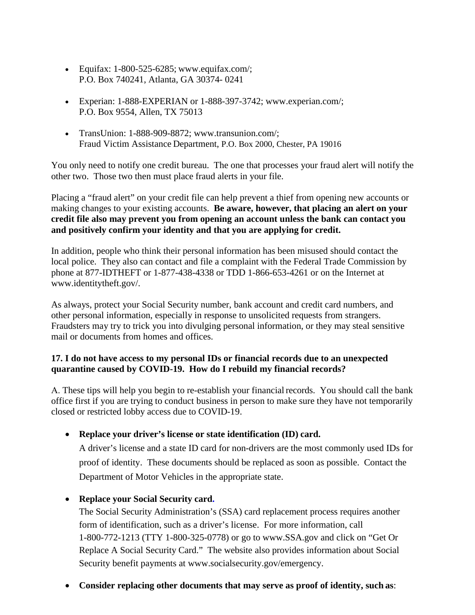- Equifax:  $1-800-525-6285$ ; www.equifax.com/; P.O. Box 740241, Atlanta, GA 30374- 0241
- Experian: 1-888-EXPERIAN or 1-888-397-3742; www.experian.com/; P.O. Box 9554, Allen, TX 75013
- TransUnion: 1-888-909-8872; www.transunion.com/: Fraud Victim Assistance Department, P.O. Box 2000, Chester, PA 19016

You only need to notify one credit bureau. The one that processes your fraud alert will notify the other two. Those two then must place fraud alerts in your file.

Placing a "fraud alert" on your credit file can help prevent a thief from opening new accounts or making changes to your existing accounts. **Be aware, however, that placing an alert on your credit file also may prevent you from opening an account unless the bank can contact you and positively confirm your identity and that you are applying for credit.** 

In addition, people who think their personal information has been misused should contact the local police. They also can contact and file a complaint with the Federal Trade Commission by phone at 877-IDTHEFT or 1-877-438-4338 or TDD 1-866-653-4261 or on the Internet at www.identitytheft.gov/.

As always, protect your Social Security number, bank account and credit card numbers, and other personal information, especially in response to unsolicited requests from strangers. Fraudsters may try to trick you into divulging personal information, or they may steal sensitive mail or documents from homes and offices.

## **17. I do not have access to my personal IDs or financial records due to an unexpected quarantine caused by COVID-19. How do I rebuild my financial records?**

A. These tips will help you begin to re-establish your financial records. You should call the bank office first if you are trying to conduct business in person to make sure they have not temporarily closed or restricted lobby access due to COVID-19.

• **Replace your driver's license or state identification (ID) card.**

A driver's license and a state ID card for non-drivers are the most commonly used IDs for proof of identity. These documents should be replaced as soon as possible. Contact the Department of Motor Vehicles in the appropriate state.

• **Replace your Social Security card.**

The Social Security Administration's (SSA) card replacement process requires another form of identification, such as a driver's license. For more information, call 1-800-772-1213 (TTY 1-800-325-0778) or go to www.SSA.gov and click on "Get Or Replace A Social Security Card." The website also provides information about Social Security benefit payments at www.socialsecurity.gov/emergency.

• **Consider replacing other documents that may serve as proof of identity, such as**: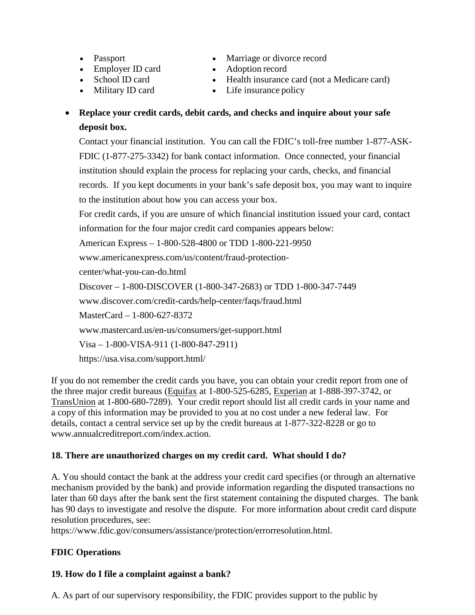- Passport
- Employer ID card
- School ID card
- Military ID card
- Marriage or divorce record
- Adoption record
- Health insurance card (not a Medicare card)
- Life insurance policy

# • **Replace your credit cards, debit cards, and checks and inquire about your safe deposit box.**

Contact your financial institution. You can call the FDIC's toll-free number 1-877-ASK-FDIC (1-877-275-3342) for bank contact information. Once connected, your financial institution should explain the process for replacing your cards, checks, and financial records. If you kept documents in your bank's safe deposit box, you may want to inquire to the institution about how you can access your box.

For credit cards, if you are unsure of which financial institution issued your card, contact information for the four major credit card companies appears below:

American Express – 1-800-528-4800 or TDD 1-800-221-9950

www.americanexpress.com/us/content/fraud-protection-

center/what-you-can-do.html

Discover – 1-800-DISCOVER (1-800-347-2683) or TDD 1-800-347-7449

www.discover.com/credit-cards/help-center/faqs/fraud.html

MasterCard – 1-800-627-8372

www.mastercard.us/en-us/consumers/get-support.html

Visa – 1-800-VISA-911 (1-800-847-2911)

https://usa.visa.com/support.html/

If you do not remember the credit cards you have, you can obtain your credit report from one of the three major credit bureaus (Equifax at 1-800-525-6285, Experian at 1-888-397-3742, or TransUnion at 1-800-680-7289). Your credit report should list all credit cards in your name and a copy of this information may be provided to you at no cost under a new federal law. For details, contact a central service set up by the credit bureaus at 1-877-322-8228 or go to www.annualcreditreport.com/index.action.

# **18. There are unauthorized charges on my credit card. What should I do?**

A. You should contact the bank at the address your credit card specifies (or through an alternative mechanism provided by the bank) and provide information regarding the disputed transactions no later than 60 days after the bank sent the first statement containing the disputed charges. The bank has 90 days to investigate and resolve the dispute. For more information about credit card dispute resolution procedures, see:

https://www.fdic.gov/consumers/assistance/protection/errorresolution.html.

# **FDIC Operations**

# **19. How do I file a complaint against a bank?**

A. As part of our supervisory responsibility, the FDIC provides support to the public by